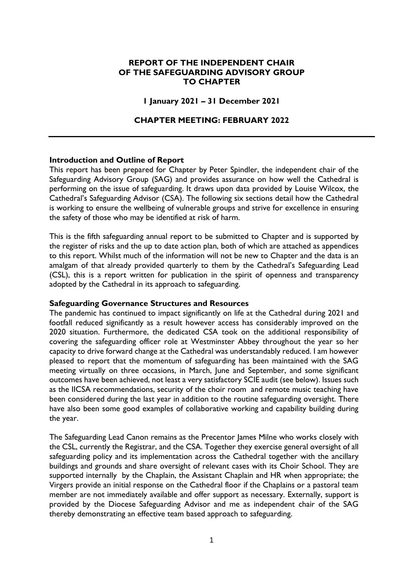# **REPORT OF THE INDEPENDENT CHAIR OF THE SAFEGUARDING ADVISORY GROUP TO CHAPTER**

#### **1 January 2021 – 31 December 2021**

## **CHAPTER MEETING: FEBRUARY 2022**

#### **Introduction and Outline of Report**

This report has been prepared for Chapter by Peter Spindler, the independent chair of the Safeguarding Advisory Group (SAG) and provides assurance on how well the Cathedral is performing on the issue of safeguarding. It draws upon data provided by Louise Wilcox, the Cathedral's Safeguarding Advisor (CSA). The following six sections detail how the Cathedral is working to ensure the wellbeing of vulnerable groups and strive for excellence in ensuring the safety of those who may be identified at risk of harm.

This is the fifth safeguarding annual report to be submitted to Chapter and is supported by the register of risks and the up to date action plan, both of which are attached as appendices to this report. Whilst much of the information will not be new to Chapter and the data is an amalgam of that already provided quarterly to them by the Cathedral's Safeguarding Lead (CSL), this is a report written for publication in the spirit of openness and transparency adopted by the Cathedral in its approach to safeguarding.

#### **Safeguarding Governance Structures and Resources**

The pandemic has continued to impact significantly on life at the Cathedral during 2021 and footfall reduced significantly as a result however access has considerably improved on the 2020 situation. Furthermore, the dedicated CSA took on the additional responsibility of covering the safeguarding officer role at Westminster Abbey throughout the year so her capacity to drive forward change at the Cathedral was understandably reduced. I am however pleased to report that the momentum of safeguarding has been maintained with the SAG meeting virtually on three occasions, in March, June and September, and some significant outcomes have been achieved, not least a very satisfactory SCIE audit (see below). Issues such as the IICSA recommendations, security of the choir room and remote music teaching have been considered during the last year in addition to the routine safeguarding oversight. There have also been some good examples of collaborative working and capability building during the year.

The Safeguarding Lead Canon remains as the Precentor James Milne who works closely with the CSL, currently the Registrar, and the CSA. Together they exercise general oversight of all safeguarding policy and its implementation across the Cathedral together with the ancillary buildings and grounds and share oversight of relevant cases with its Choir School. They are supported internally by the Chaplain, the Assistant Chaplain and HR when appropriate; the Virgers provide an initial response on the Cathedral floor if the Chaplains or a pastoral team member are not immediately available and offer support as necessary. Externally, support is provided by the Diocese Safeguarding Advisor and me as independent chair of the SAG thereby demonstrating an effective team based approach to safeguarding.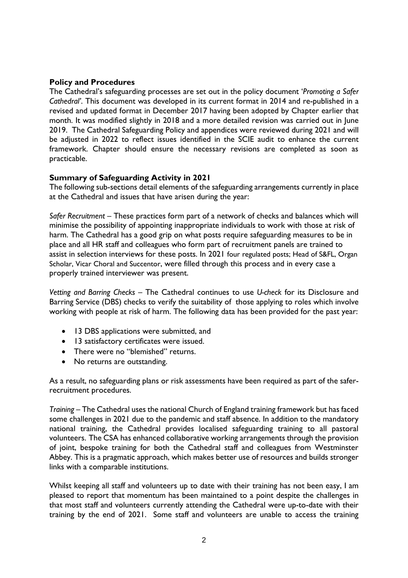# **Policy and Procedures**

The Cathedral's safeguarding processes are set out in the policy document '*Promoting a Safer Cathedral'*. This document was developed in its current format in 2014 and re-published in a revised and updated format in December 2017 having been adopted by Chapter earlier that month. It was modified slightly in 2018 and a more detailed revision was carried out in June 2019. The Cathedral Safeguarding Policy and appendices were reviewed during 2021 and will be adjusted in 2022 to reflect issues identified in the SCIE audit to enhance the current framework. Chapter should ensure the necessary revisions are completed as soon as practicable.

# **Summary of Safeguarding Activity in 2021**

The following sub-sections detail elements of the safeguarding arrangements currently in place at the Cathedral and issues that have arisen during the year:

*Safer Recruitment* – These practices form part of a network of checks and balances which will minimise the possibility of appointing inappropriate individuals to work with those at risk of harm. The Cathedral has a good grip on what posts require safeguarding measures to be in place and all HR staff and colleagues who form part of recruitment panels are trained to assist in selection interviews for these posts. In 2021 four regulated posts; Head of S&FL, Organ Scholar, Vicar Choral and Succentor, were filled through this process and in every case a properly trained interviewer was present.

*Vetting and Barring Checks* – The Cathedral continues to use *U-check* for its Disclosure and Barring Service (DBS) checks to verify the suitability of those applying to roles which involve working with people at risk of harm. The following data has been provided for the past year:

- 13 DBS applications were submitted, and
- 13 satisfactory certificates were issued.
- There were no "blemished" returns.
- No returns are outstanding.

As a result, no safeguarding plans or risk assessments have been required as part of the saferrecruitment procedures.

*Training* – The Cathedral uses the national Church of England training framework but has faced some challenges in 2021 due to the pandemic and staff absence. In addition to the mandatory national training, the Cathedral provides localised safeguarding training to all pastoral volunteers. The CSA has enhanced collaborative working arrangements through the provision of joint, bespoke training for both the Cathedral staff and colleagues from Westminster Abbey. This is a pragmatic approach, which makes better use of resources and builds stronger links with a comparable institutions.

Whilst keeping all staff and volunteers up to date with their training has not been easy, I am pleased to report that momentum has been maintained to a point despite the challenges in that most staff and volunteers currently attending the Cathedral were up-to-date with their training by the end of 2021. Some staff and volunteers are unable to access the training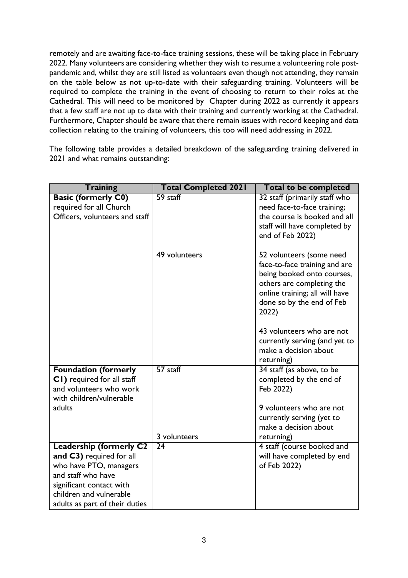remotely and are awaiting face-to-face training sessions, these will be taking place in February 2022. Many volunteers are considering whether they wish to resume a volunteering role postpandemic and, whilst they are still listed as volunteers even though not attending, they remain on the table below as not up-to-date with their safeguarding training. Volunteers will be required to complete the training in the event of choosing to return to their roles at the Cathedral. This will need to be monitored by Chapter during 2022 as currently it appears that a few staff are not up to date with their training and currently working at the Cathedral. Furthermore, Chapter should be aware that there remain issues with record keeping and data collection relating to the training of volunteers, this too will need addressing in 2022.

The following table provides a detailed breakdown of the safeguarding training delivered in 2021 and what remains outstanding:

| <b>Training</b>                                                                                                                        | <b>Total Completed 2021</b> | <b>Total to be completed</b>                                                                                                                                                                 |
|----------------------------------------------------------------------------------------------------------------------------------------|-----------------------------|----------------------------------------------------------------------------------------------------------------------------------------------------------------------------------------------|
| <b>Basic (formerly C0)</b><br>required for all Church                                                                                  | 59 staff                    | 32 staff (primarily staff who<br>need face-to-face training;                                                                                                                                 |
| Officers, volunteers and staff                                                                                                         |                             | the course is booked and all<br>staff will have completed by<br>end of Feb 2022)                                                                                                             |
|                                                                                                                                        | 49 volunteers               | 52 volunteers (some need<br>face-to-face training and are<br>being booked onto courses,<br>others are completing the<br>online training; all will have<br>done so by the end of Feb<br>2022) |
|                                                                                                                                        |                             | 43 volunteers who are not<br>currently serving (and yet to<br>make a decision about<br>returning)                                                                                            |
| <b>Foundation (formerly</b><br>CI) required for all staff<br>and volunteers who work<br>with children/vulnerable                       | 57 staff                    | 34 staff (as above, to be<br>completed by the end of<br>Feb 2022)                                                                                                                            |
| adults                                                                                                                                 | 3 volunteers                | 9 volunteers who are not<br>currently serving (yet to<br>make a decision about<br>returning)                                                                                                 |
|                                                                                                                                        | 24                          |                                                                                                                                                                                              |
| <b>Leadership (formerly C2</b><br>and C3) required for all<br>who have PTO, managers<br>and staff who have<br>significant contact with |                             | 4 staff (course booked and<br>will have completed by end<br>of Feb 2022)                                                                                                                     |
| children and vulnerable                                                                                                                |                             |                                                                                                                                                                                              |
| adults as part of their duties                                                                                                         |                             |                                                                                                                                                                                              |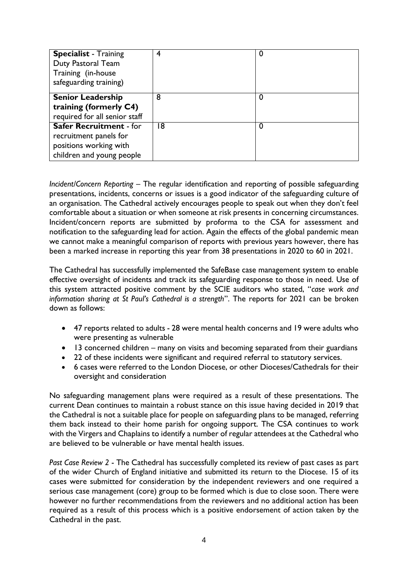| <b>Specialist</b> - Training<br>Duty Pastoral Team<br>Training (in-house<br>safeguarding training)              | 4  | U |
|-----------------------------------------------------------------------------------------------------------------|----|---|
| <b>Senior Leadership</b><br>training (formerly C4)<br>required for all senior staff                             | 8  | 0 |
| <b>Safer Recruitment - for</b><br>recruitment panels for<br>positions working with<br>children and young people | 18 | 0 |

*Incident/Concern Reporting* – The regular identification and reporting of possible safeguarding presentations, incidents, concerns or issues is a good indicator of the safeguarding culture of an organisation. The Cathedral actively encourages people to speak out when they don't feel comfortable about a situation or when someone at risk presents in concerning circumstances. Incident/concern reports are submitted by proforma to the CSA for assessment and notification to the safeguarding lead for action. Again the effects of the global pandemic mean we cannot make a meaningful comparison of reports with previous years however, there has been a marked increase in reporting this year from 38 presentations in 2020 to 60 in 2021.

The Cathedral has successfully implemented the SafeBase case management system to enable effective oversight of incidents and track its safeguarding response to those in need. Use of this system attracted positive comment by the SCIE auditors who stated, "*case work and information sharing at St Paul's Cathedral is a strength*". The reports for 2021 can be broken down as follows:

- 47 reports related to adults 28 were mental health concerns and 19 were adults who were presenting as vulnerable
- 13 concerned children many on visits and becoming separated from their guardians
- 22 of these incidents were significant and required referral to statutory services.
- 6 cases were referred to the London Diocese, or other Dioceses/Cathedrals for their oversight and consideration

No safeguarding management plans were required as a result of these presentations. The current Dean continues to maintain a robust stance on this issue having decided in 2019 that the Cathedral is not a suitable place for people on safeguarding plans to be managed, referring them back instead to their home parish for ongoing support. The CSA continues to work with the Virgers and Chaplains to identify a number of regular attendees at the Cathedral who are believed to be vulnerable or have mental health issues.

*Past Case Review 2* - The Cathedral has successfully completed its review of past cases as part of the wider Church of England initiative and submitted its return to the Diocese. 15 of its cases were submitted for consideration by the independent reviewers and one required a serious case management (core) group to be formed which is due to close soon. There were however no further recommendations from the reviewers and no additional action has been required as a result of this process which is a positive endorsement of action taken by the Cathedral in the past.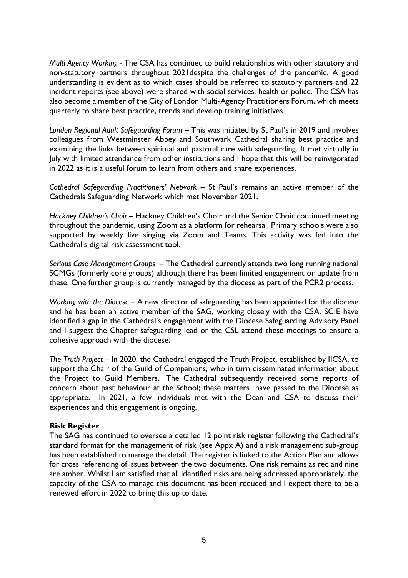*Multi Agency Working -* The CSA has continued to build relationships with other statutory and non-statutory partners throughout 2021despite the challenges of the pandemic. A good understanding is evident as to which cases should be referred to statutory partners and 22 incident reports (see above) were shared with social services, health or police. The CSA has also become a member of the City of London Multi-Agency Practitioners Forum, which meets quarterly to share best practice, trends and develop training initiatives.

*London Regional Adult Safeguarding Forum* – This was initiated by St Paul's in 2019 and involves colleagues from Westminster Abbey and Southwark Cathedral sharing best practice and examining the links between spiritual and pastoral care with safeguarding. It met virtually in July with limited attendance from other institutions and I hope that this will be reinvigorated in 2022 as it is a useful forum to learn from others and share experiences.

*Cathedral Safeguarding Practitioners' Network –* St Paul's remains an active member of the Cathedrals Safeguarding Network which met November 2021.

*Hackney Children's Choir –* Hackney Children's Choir and the Senior Choir continued meeting throughout the pandemic, using Zoom as a platform for rehearsal. Primary schools were also supported by weekly live singing via Zoom and Teams. This activity was fed into the Cathedral's digital risk assessment tool.

*Serious Case Management Groups* – The Cathedral currently attends two long running national SCMGs (formerly core groups) although there has been limited engagement or update from these. One further group is currently managed by the diocese as part of the PCR2 process.

*Working with the Diocese* – A new director of safeguarding has been appointed for the diocese and he has been an active member of the SAG, working closely with the CSA. SCIE have identified a gap in the Cathedral's engagement with the Diocese Safeguarding Advisory Panel and I suggest the Chapter safeguarding lead or the CSL attend these meetings to ensure a cohesive approach with the diocese.

*The Truth Project* – In 2020, the Cathedral engaged the Truth Project, established by IICSA, to support the Chair of the Guild of Companions, who in turn disseminated information about the Project to Guild Members. The Cathedral subsequently received some reports of concern about past behaviour at the School; these matters have passed to the Diocese as appropriate. In 2021, a few individuals met with the Dean and CSA to discuss their experiences and this engagement is ongoing.

## **Risk Register**

The SAG has continued to oversee a detailed 12 point risk register following the Cathedral's standard format for the management of risk (see Appx A) and a risk management sub-group has been established to manage the detail. The register is linked to the Action Plan and allows for cross referencing of issues between the two documents. One risk remains as red and nine are amber. Whilst I am satisfied that all identified risks are being addressed appropriately, the capacity of the CSA to manage this document has been reduced and I expect there to be a renewed effort in 2022 to bring this up to date.